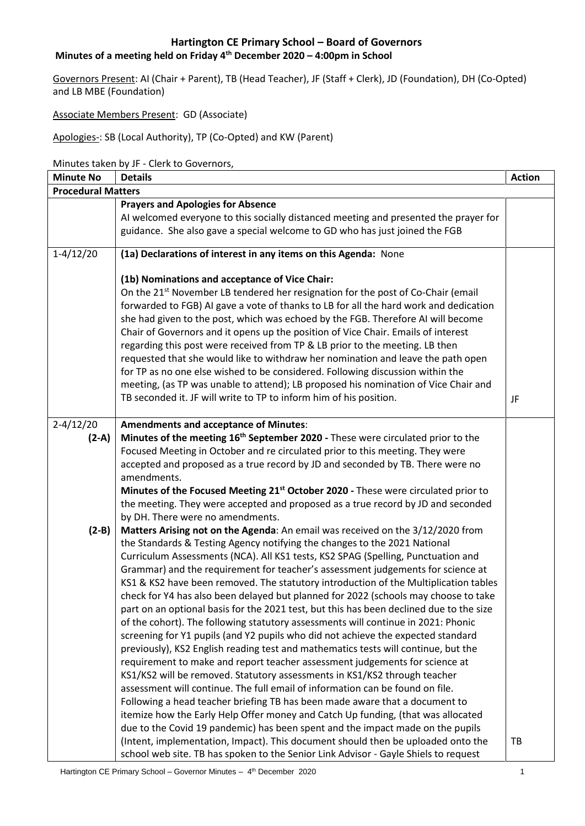# **Minutes of a meeting held on Friday 4th December 2020 – 4:00pm in School**

Governors Present: AI (Chair + Parent), TB (Head Teacher), JF (Staff + Clerk), JD (Foundation), DH (Co-Opted) and LB MBE (Foundation)

Associate Members Present: GD (Associate)

Apologies-: SB (Local Authority), TP (Co-Opted) and KW (Parent)

Minutes taken by JF - Clerk to Governors,

| <b>Minute No</b>          | <b>Details</b>                                                                                                                                                                                                                                                                                                                                                                                                                                                                                                                                                                                                                                                                                                                                                                                                                      | <b>Action</b> |  |
|---------------------------|-------------------------------------------------------------------------------------------------------------------------------------------------------------------------------------------------------------------------------------------------------------------------------------------------------------------------------------------------------------------------------------------------------------------------------------------------------------------------------------------------------------------------------------------------------------------------------------------------------------------------------------------------------------------------------------------------------------------------------------------------------------------------------------------------------------------------------------|---------------|--|
| <b>Procedural Matters</b> |                                                                                                                                                                                                                                                                                                                                                                                                                                                                                                                                                                                                                                                                                                                                                                                                                                     |               |  |
|                           | <b>Prayers and Apologies for Absence</b>                                                                                                                                                                                                                                                                                                                                                                                                                                                                                                                                                                                                                                                                                                                                                                                            |               |  |
|                           | AI welcomed everyone to this socially distanced meeting and presented the prayer for                                                                                                                                                                                                                                                                                                                                                                                                                                                                                                                                                                                                                                                                                                                                                |               |  |
|                           | guidance. She also gave a special welcome to GD who has just joined the FGB                                                                                                                                                                                                                                                                                                                                                                                                                                                                                                                                                                                                                                                                                                                                                         |               |  |
| $1-4/12/20$               | (1a) Declarations of interest in any items on this Agenda: None                                                                                                                                                                                                                                                                                                                                                                                                                                                                                                                                                                                                                                                                                                                                                                     |               |  |
|                           | (1b) Nominations and acceptance of Vice Chair:<br>On the 21 <sup>st</sup> November LB tendered her resignation for the post of Co-Chair (email<br>forwarded to FGB) AI gave a vote of thanks to LB for all the hard work and dedication<br>she had given to the post, which was echoed by the FGB. Therefore AI will become<br>Chair of Governors and it opens up the position of Vice Chair. Emails of interest<br>regarding this post were received from TP & LB prior to the meeting. LB then<br>requested that she would like to withdraw her nomination and leave the path open<br>for TP as no one else wished to be considered. Following discussion within the<br>meeting, (as TP was unable to attend); LB proposed his nomination of Vice Chair and<br>TB seconded it. JF will write to TP to inform him of his position. | JF            |  |
| $2 - 4/12/20$             | <b>Amendments and acceptance of Minutes:</b>                                                                                                                                                                                                                                                                                                                                                                                                                                                                                                                                                                                                                                                                                                                                                                                        |               |  |
| $(2-A)$                   | Minutes of the meeting 16 <sup>th</sup> September 2020 - These were circulated prior to the                                                                                                                                                                                                                                                                                                                                                                                                                                                                                                                                                                                                                                                                                                                                         |               |  |
|                           | Focused Meeting in October and re circulated prior to this meeting. They were                                                                                                                                                                                                                                                                                                                                                                                                                                                                                                                                                                                                                                                                                                                                                       |               |  |
|                           | accepted and proposed as a true record by JD and seconded by TB. There were no                                                                                                                                                                                                                                                                                                                                                                                                                                                                                                                                                                                                                                                                                                                                                      |               |  |
|                           | amendments.                                                                                                                                                                                                                                                                                                                                                                                                                                                                                                                                                                                                                                                                                                                                                                                                                         |               |  |
|                           | Minutes of the Focused Meeting 21 <sup>st</sup> October 2020 - These were circulated prior to                                                                                                                                                                                                                                                                                                                                                                                                                                                                                                                                                                                                                                                                                                                                       |               |  |
|                           | the meeting. They were accepted and proposed as a true record by JD and seconded                                                                                                                                                                                                                                                                                                                                                                                                                                                                                                                                                                                                                                                                                                                                                    |               |  |
|                           | by DH. There were no amendments.                                                                                                                                                                                                                                                                                                                                                                                                                                                                                                                                                                                                                                                                                                                                                                                                    |               |  |
| $(2-B)$                   | Matters Arising not on the Agenda: An email was received on the 3/12/2020 from                                                                                                                                                                                                                                                                                                                                                                                                                                                                                                                                                                                                                                                                                                                                                      |               |  |
|                           | the Standards & Testing Agency notifying the changes to the 2021 National                                                                                                                                                                                                                                                                                                                                                                                                                                                                                                                                                                                                                                                                                                                                                           |               |  |
|                           | Curriculum Assessments (NCA). All KS1 tests, KS2 SPAG (Spelling, Punctuation and                                                                                                                                                                                                                                                                                                                                                                                                                                                                                                                                                                                                                                                                                                                                                    |               |  |
|                           | Grammar) and the requirement for teacher's assessment judgements for science at                                                                                                                                                                                                                                                                                                                                                                                                                                                                                                                                                                                                                                                                                                                                                     |               |  |
|                           | KS1 & KS2 have been removed. The statutory introduction of the Multiplication tables                                                                                                                                                                                                                                                                                                                                                                                                                                                                                                                                                                                                                                                                                                                                                |               |  |
|                           | check for Y4 has also been delayed but planned for 2022 (schools may choose to take                                                                                                                                                                                                                                                                                                                                                                                                                                                                                                                                                                                                                                                                                                                                                 |               |  |
|                           | part on an optional basis for the 2021 test, but this has been declined due to the size                                                                                                                                                                                                                                                                                                                                                                                                                                                                                                                                                                                                                                                                                                                                             |               |  |
|                           | of the cohort). The following statutory assessments will continue in 2021: Phonic                                                                                                                                                                                                                                                                                                                                                                                                                                                                                                                                                                                                                                                                                                                                                   |               |  |
|                           | screening for Y1 pupils (and Y2 pupils who did not achieve the expected standard                                                                                                                                                                                                                                                                                                                                                                                                                                                                                                                                                                                                                                                                                                                                                    |               |  |
|                           | previously), KS2 English reading test and mathematics tests will continue, but the                                                                                                                                                                                                                                                                                                                                                                                                                                                                                                                                                                                                                                                                                                                                                  |               |  |
|                           | requirement to make and report teacher assessment judgements for science at                                                                                                                                                                                                                                                                                                                                                                                                                                                                                                                                                                                                                                                                                                                                                         |               |  |
|                           | KS1/KS2 will be removed. Statutory assessments in KS1/KS2 through teacher                                                                                                                                                                                                                                                                                                                                                                                                                                                                                                                                                                                                                                                                                                                                                           |               |  |
|                           | assessment will continue. The full email of information can be found on file.                                                                                                                                                                                                                                                                                                                                                                                                                                                                                                                                                                                                                                                                                                                                                       |               |  |
|                           | Following a head teacher briefing TB has been made aware that a document to                                                                                                                                                                                                                                                                                                                                                                                                                                                                                                                                                                                                                                                                                                                                                         |               |  |
|                           | itemize how the Early Help Offer money and Catch Up funding, (that was allocated                                                                                                                                                                                                                                                                                                                                                                                                                                                                                                                                                                                                                                                                                                                                                    |               |  |
|                           | due to the Covid 19 pandemic) has been spent and the impact made on the pupils                                                                                                                                                                                                                                                                                                                                                                                                                                                                                                                                                                                                                                                                                                                                                      |               |  |
|                           | (Intent, implementation, Impact). This document should then be uploaded onto the                                                                                                                                                                                                                                                                                                                                                                                                                                                                                                                                                                                                                                                                                                                                                    | TB            |  |
|                           | school web site. TB has spoken to the Senior Link Advisor - Gayle Shiels to request                                                                                                                                                                                                                                                                                                                                                                                                                                                                                                                                                                                                                                                                                                                                                 |               |  |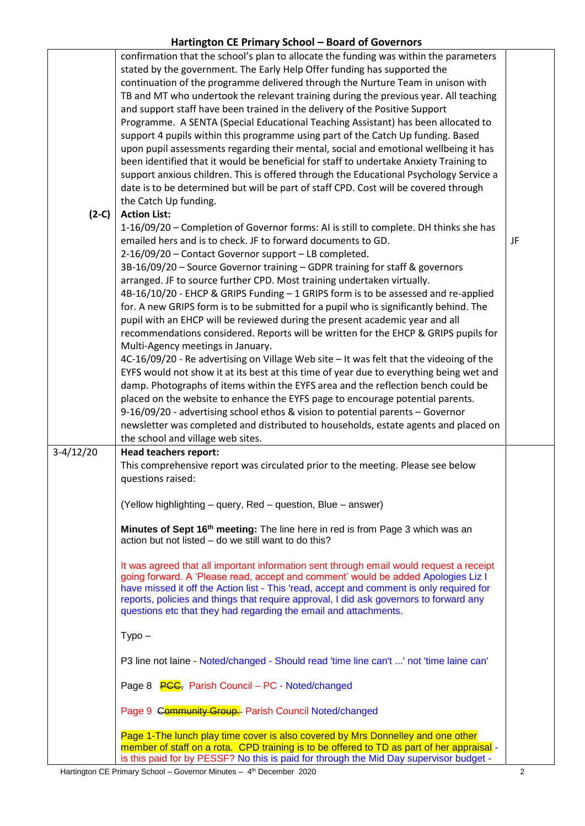|             | confirmation that the school's plan to allocate the funding was within the parameters<br>stated by the government. The Early Help Offer funding has supported the<br>continuation of the programme delivered through the Nurture Team in unison with<br>TB and MT who undertook the relevant training during the previous year. All teaching<br>and support staff have been trained in the delivery of the Positive Support<br>Programme. A SENTA (Special Educational Teaching Assistant) has been allocated to<br>support 4 pupils within this programme using part of the Catch Up funding. Based<br>upon pupil assessments regarding their mental, social and emotional wellbeing it has<br>been identified that it would be beneficial for staff to undertake Anxiety Training to<br>support anxious children. This is offered through the Educational Psychology Service a                                                                                                                                                                                                                                                                                                                                                                                                                        |    |
|-------------|---------------------------------------------------------------------------------------------------------------------------------------------------------------------------------------------------------------------------------------------------------------------------------------------------------------------------------------------------------------------------------------------------------------------------------------------------------------------------------------------------------------------------------------------------------------------------------------------------------------------------------------------------------------------------------------------------------------------------------------------------------------------------------------------------------------------------------------------------------------------------------------------------------------------------------------------------------------------------------------------------------------------------------------------------------------------------------------------------------------------------------------------------------------------------------------------------------------------------------------------------------------------------------------------------------|----|
|             | date is to be determined but will be part of staff CPD. Cost will be covered through                                                                                                                                                                                                                                                                                                                                                                                                                                                                                                                                                                                                                                                                                                                                                                                                                                                                                                                                                                                                                                                                                                                                                                                                                    |    |
| $(2-C)$     | the Catch Up funding.<br><b>Action List:</b>                                                                                                                                                                                                                                                                                                                                                                                                                                                                                                                                                                                                                                                                                                                                                                                                                                                                                                                                                                                                                                                                                                                                                                                                                                                            |    |
|             | 1-16/09/20 - Completion of Governor forms: AI is still to complete. DH thinks she has<br>emailed hers and is to check. JF to forward documents to GD.<br>2-16/09/20 - Contact Governor support - LB completed.<br>3B-16/09/20 - Source Governor training - GDPR training for staff & governors<br>arranged. JF to source further CPD. Most training undertaken virtually.<br>4B-16/10/20 - EHCP & GRIPS Funding - 1 GRIPS form is to be assessed and re-applied<br>for. A new GRIPS form is to be submitted for a pupil who is significantly behind. The<br>pupil with an EHCP will be reviewed during the present academic year and all<br>recommendations considered. Reports will be written for the EHCP & GRIPS pupils for<br>Multi-Agency meetings in January.<br>4C-16/09/20 - Re advertising on Village Web site - It was felt that the videoing of the<br>EYFS would not show it at its best at this time of year due to everything being wet and<br>damp. Photographs of items within the EYFS area and the reflection bench could be<br>placed on the website to enhance the EYFS page to encourage potential parents.<br>9-16/09/20 - advertising school ethos & vision to potential parents - Governor                                                                                     | JF |
|             | newsletter was completed and distributed to households, estate agents and placed on<br>the school and village web sites.                                                                                                                                                                                                                                                                                                                                                                                                                                                                                                                                                                                                                                                                                                                                                                                                                                                                                                                                                                                                                                                                                                                                                                                |    |
| $3-4/12/20$ | <b>Head teachers report:</b><br>This comprehensive report was circulated prior to the meeting. Please see below<br>questions raised:<br>(Yellow highlighting – query, Red – question, Blue – answer)<br>Minutes of Sept 16 <sup>th</sup> meeting: The line here in red is from Page 3 which was an<br>action but not listed - do we still want to do this?<br>It was agreed that all important information sent through email would request a receipt<br>going forward. A 'Please read, accept and comment' would be added Apologies Liz I<br>have missed it off the Action list - This 'read, accept and comment is only required for<br>reports, policies and things that require approval, I did ask governors to forward any<br>questions etc that they had regarding the email and attachments.<br>$Type-$<br>P3 line not laine - Noted/changed - Should read 'time line can't ' not 'time laine can'<br>Page 8 <b>PCC</b> , Parish Council – PC - Noted/changed<br>Page 9 Community Group. Parish Council Noted/changed<br>Page 1-The lunch play time cover is also covered by Mrs Donnelley and one other<br>member of staff on a rota. CPD training is to be offered to TD as part of her appraisal -<br>is this paid for by PESSF? No this is paid for through the Mid Day supervisor budget - |    |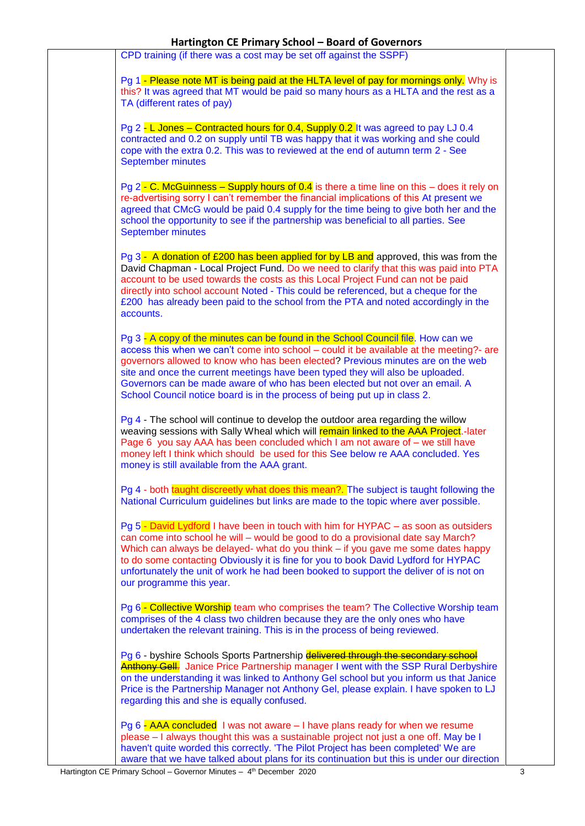|                          | CPD training (if there was a cost may be set off against the SSPF)                                                                                                                                                                                                                                                                                                                                                                                                                                            |
|--------------------------|---------------------------------------------------------------------------------------------------------------------------------------------------------------------------------------------------------------------------------------------------------------------------------------------------------------------------------------------------------------------------------------------------------------------------------------------------------------------------------------------------------------|
|                          | Pg 1 - Please note MT is being paid at the HLTA level of pay for mornings only. Why is                                                                                                                                                                                                                                                                                                                                                                                                                        |
|                          | this? It was agreed that MT would be paid so many hours as a HLTA and the rest as a<br>TA (different rates of pay)                                                                                                                                                                                                                                                                                                                                                                                            |
| <b>September minutes</b> | Pg 2 - L Jones – Contracted hours for 0.4, Supply 0.2 It was agreed to pay LJ 0.4<br>contracted and 0.2 on supply until TB was happy that it was working and she could<br>cope with the extra 0.2. This was to reviewed at the end of autumn term 2 - See                                                                                                                                                                                                                                                     |
| <b>September minutes</b> | Pg 2 - C. McGuinness – Supply hours of 0.4 is there a time line on this – does it rely on<br>re-advertising sorry I can't remember the financial implications of this At present we<br>agreed that CMcG would be paid 0.4 supply for the time being to give both her and the<br>school the opportunity to see if the partnership was beneficial to all parties. See                                                                                                                                           |
| accounts.                | Pg 3 - A donation of £200 has been applied for by LB and approved, this was from the<br>David Chapman - Local Project Fund. Do we need to clarify that this was paid into PTA<br>account to be used towards the costs as this Local Project Fund can not be paid<br>directly into school account Noted - This could be referenced, but a cheque for the<br>£200 has already been paid to the school from the PTA and noted accordingly in the                                                                 |
|                          | Pg 3 - A copy of the minutes can be found in the School Council file. How can we<br>access this when we can't come into school - could it be available at the meeting?- are<br>governors allowed to know who has been elected? Previous minutes are on the web<br>site and once the current meetings have been typed they will also be uploaded.<br>Governors can be made aware of who has been elected but not over an email. A<br>School Council notice board is in the process of being put up in class 2. |
|                          | Pg 4 - The school will continue to develop the outdoor area regarding the willow<br>weaving sessions with Sally Wheal which will remain linked to the AAA Project.-later<br>Page 6 you say AAA has been concluded which I am not aware of – we still have<br>money left I think which should be used for this See below re AAA concluded. Yes<br>money is still available from the AAA grant.                                                                                                                 |
|                          | Pg 4 - both taught discreetly what does this mean?. The subject is taught following the<br>National Curriculum guidelines but links are made to the topic where aver possible.                                                                                                                                                                                                                                                                                                                                |
|                          | Pg 5 - David Lydford I have been in touch with him for HYPAC – as soon as outsiders<br>can come into school he will – would be good to do a provisional date say March?<br>Which can always be delayed- what do you think – if you gave me some dates happy<br>to do some contacting Obviously it is fine for you to book David Lydford for HYPAC<br>unfortunately the unit of work he had been booked to support the deliver of is not on<br>our programme this year.                                        |
|                          | Pq 6 - Collective Worship team who comprises the team? The Collective Worship team<br>comprises of the 4 class two children because they are the only ones who have<br>undertaken the relevant training. This is in the process of being reviewed.                                                                                                                                                                                                                                                            |
|                          | Pg 6 - byshire Schools Sports Partnership delivered through the secondary school<br><b>Anthony Gell.</b> Janice Price Partnership manager I went with the SSP Rural Derbyshire<br>on the understanding it was linked to Anthony Gel school but you inform us that Janice<br>Price is the Partnership Manager not Anthony Gel, please explain. I have spoken to LJ<br>regarding this and she is equally confused.                                                                                              |
|                          | Pg $6 - AAA$ concluded I was not aware $-1$ have plans ready for when we resume<br>please – I always thought this was a sustainable project not just a one off. May be I<br>haven't quite worded this correctly. 'The Pilot Project has been completed' We are<br>aware that we have talked about plans for its continuation but this is under our direction                                                                                                                                                  |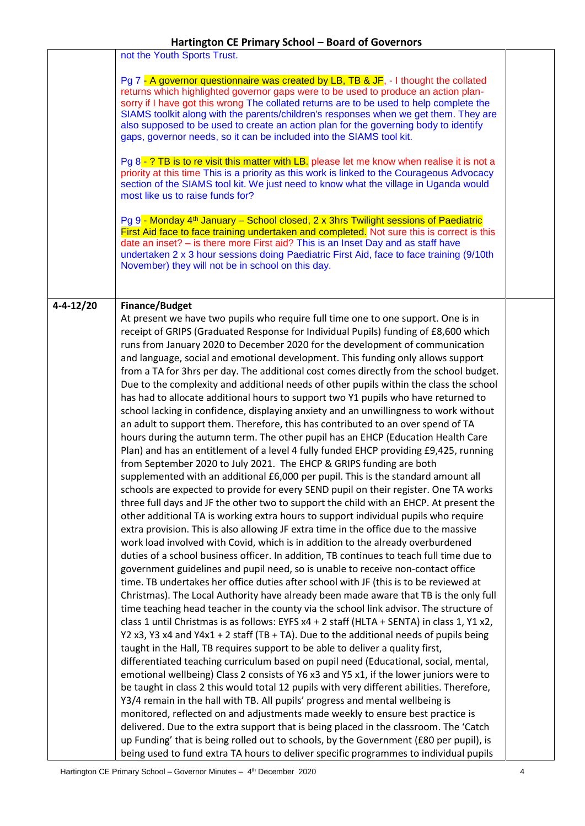|                 | not the Youth Sports Trust.                                                                                                                                                                                                                                                                                                                                                                                                                                                                                                                                                                                                                                                                                                                                                                                                                                                                                                                                                                                                                                                                                                                                                                                                                                                                                                                                                                                                                                                                                                                                                                                                                                                                                                                                                                                                                                                                                                                                                                                                                                                                                                                                                                                                                                                                                                                                                                                                                                                                                                                                                                                                                                                                                                                                                                                                                                                                                                                                                                                                                                                                    |  |
|-----------------|------------------------------------------------------------------------------------------------------------------------------------------------------------------------------------------------------------------------------------------------------------------------------------------------------------------------------------------------------------------------------------------------------------------------------------------------------------------------------------------------------------------------------------------------------------------------------------------------------------------------------------------------------------------------------------------------------------------------------------------------------------------------------------------------------------------------------------------------------------------------------------------------------------------------------------------------------------------------------------------------------------------------------------------------------------------------------------------------------------------------------------------------------------------------------------------------------------------------------------------------------------------------------------------------------------------------------------------------------------------------------------------------------------------------------------------------------------------------------------------------------------------------------------------------------------------------------------------------------------------------------------------------------------------------------------------------------------------------------------------------------------------------------------------------------------------------------------------------------------------------------------------------------------------------------------------------------------------------------------------------------------------------------------------------------------------------------------------------------------------------------------------------------------------------------------------------------------------------------------------------------------------------------------------------------------------------------------------------------------------------------------------------------------------------------------------------------------------------------------------------------------------------------------------------------------------------------------------------------------------------------------------------------------------------------------------------------------------------------------------------------------------------------------------------------------------------------------------------------------------------------------------------------------------------------------------------------------------------------------------------------------------------------------------------------------------------------------------------|--|
|                 | Pg 7 - A governor questionnaire was created by LB, TB & JF, - I thought the collated<br>returns which highlighted governor gaps were to be used to produce an action plan-<br>sorry if I have got this wrong The collated returns are to be used to help complete the<br>SIAMS toolkit along with the parents/children's responses when we get them. They are<br>also supposed to be used to create an action plan for the governing body to identify<br>gaps, governor needs, so it can be included into the SIAMS tool kit.<br>Pg 8 - ? TB is to re visit this matter with LB. please let me know when realise it is not a<br>priority at this time This is a priority as this work is linked to the Courageous Advocacy<br>section of the SIAMS tool kit. We just need to know what the village in Uganda would<br>most like us to raise funds for?                                                                                                                                                                                                                                                                                                                                                                                                                                                                                                                                                                                                                                                                                                                                                                                                                                                                                                                                                                                                                                                                                                                                                                                                                                                                                                                                                                                                                                                                                                                                                                                                                                                                                                                                                                                                                                                                                                                                                                                                                                                                                                                                                                                                                                         |  |
|                 | Pg 9 - Monday 4 <sup>th</sup> January – School closed, 2 x 3hrs Twilight sessions of Paediatric<br>First Aid face to face training undertaken and completed. Not sure this is correct is this<br>date an inset? - is there more First aid? This is an Inset Day and as staff have<br>undertaken 2 x 3 hour sessions doing Paediatric First Aid, face to face training (9/10th<br>November) they will not be in school on this day.                                                                                                                                                                                                                                                                                                                                                                                                                                                                                                                                                                                                                                                                                                                                                                                                                                                                                                                                                                                                                                                                                                                                                                                                                                                                                                                                                                                                                                                                                                                                                                                                                                                                                                                                                                                                                                                                                                                                                                                                                                                                                                                                                                                                                                                                                                                                                                                                                                                                                                                                                                                                                                                             |  |
| $4 - 4 - 12/20$ | <b>Finance/Budget</b><br>At present we have two pupils who require full time one to one support. One is in<br>receipt of GRIPS (Graduated Response for Individual Pupils) funding of £8,600 which<br>runs from January 2020 to December 2020 for the development of communication<br>and language, social and emotional development. This funding only allows support<br>from a TA for 3hrs per day. The additional cost comes directly from the school budget.<br>Due to the complexity and additional needs of other pupils within the class the school<br>has had to allocate additional hours to support two Y1 pupils who have returned to<br>school lacking in confidence, displaying anxiety and an unwillingness to work without<br>an adult to support them. Therefore, this has contributed to an over spend of TA<br>hours during the autumn term. The other pupil has an EHCP (Education Health Care<br>Plan) and has an entitlement of a level 4 fully funded EHCP providing £9,425, running<br>from September 2020 to July 2021. The EHCP & GRIPS funding are both<br>supplemented with an additional £6,000 per pupil. This is the standard amount all<br>schools are expected to provide for every SEND pupil on their register. One TA works<br>three full days and JF the other two to support the child with an EHCP. At present the<br>other additional TA is working extra hours to support individual pupils who require<br>extra provision. This is also allowing JF extra time in the office due to the massive<br>work load involved with Covid, which is in addition to the already overburdened<br>duties of a school business officer. In addition, TB continues to teach full time due to<br>government guidelines and pupil need, so is unable to receive non-contact office<br>time. TB undertakes her office duties after school with JF (this is to be reviewed at<br>Christmas). The Local Authority have already been made aware that TB is the only full<br>time teaching head teacher in the county via the school link advisor. The structure of<br>class 1 until Christmas is as follows: EYFS x4 + 2 staff (HLTA + SENTA) in class 1, Y1 x2,<br>Y2 x3, Y3 x4 and Y4x1 + 2 staff (TB + TA). Due to the additional needs of pupils being<br>taught in the Hall, TB requires support to be able to deliver a quality first,<br>differentiated teaching curriculum based on pupil need (Educational, social, mental,<br>emotional wellbeing) Class 2 consists of Y6 x3 and Y5 x1, if the lower juniors were to<br>be taught in class 2 this would total 12 pupils with very different abilities. Therefore,<br>Y3/4 remain in the hall with TB. All pupils' progress and mental wellbeing is<br>monitored, reflected on and adjustments made weekly to ensure best practice is<br>delivered. Due to the extra support that is being placed in the classroom. The 'Catch<br>up Funding' that is being rolled out to schools, by the Government (£80 per pupil), is<br>being used to fund extra TA hours to deliver specific programmes to individual pupils |  |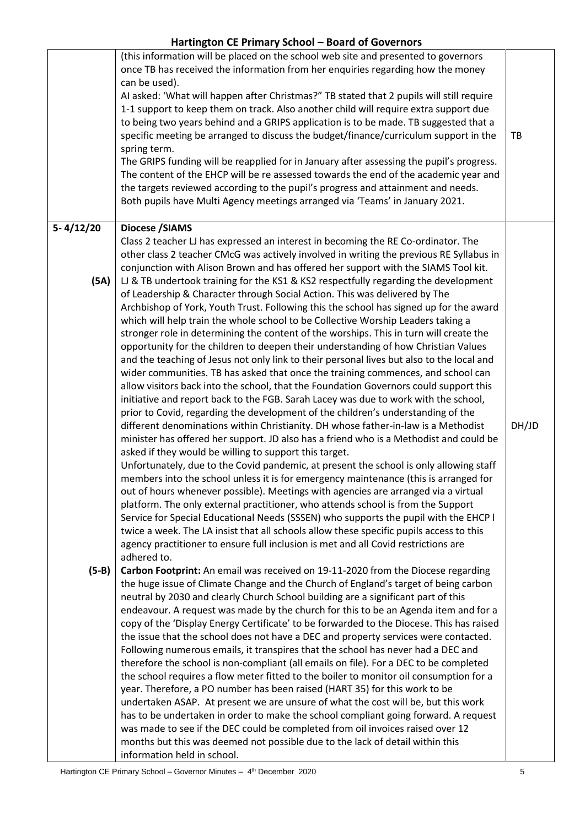|               | (this information will be placed on the school web site and presented to governors<br>once TB has received the information from her enquiries regarding how the money<br>can be used).<br>AI asked: 'What will happen after Christmas?" TB stated that 2 pupils will still require<br>1-1 support to keep them on track. Also another child will require extra support due<br>to being two years behind and a GRIPS application is to be made. TB suggested that a<br>specific meeting be arranged to discuss the budget/finance/curriculum support in the<br>spring term.<br>The GRIPS funding will be reapplied for in January after assessing the pupil's progress.<br>The content of the EHCP will be re assessed towards the end of the academic year and<br>the targets reviewed according to the pupil's progress and attainment and needs.<br>Both pupils have Multi Agency meetings arranged via 'Teams' in January 2021. | TB    |
|---------------|------------------------------------------------------------------------------------------------------------------------------------------------------------------------------------------------------------------------------------------------------------------------------------------------------------------------------------------------------------------------------------------------------------------------------------------------------------------------------------------------------------------------------------------------------------------------------------------------------------------------------------------------------------------------------------------------------------------------------------------------------------------------------------------------------------------------------------------------------------------------------------------------------------------------------------|-------|
| $5 - 4/12/20$ | <b>Diocese /SIAMS</b>                                                                                                                                                                                                                                                                                                                                                                                                                                                                                                                                                                                                                                                                                                                                                                                                                                                                                                              |       |
| (5A)          | Class 2 teacher LJ has expressed an interest in becoming the RE Co-ordinator. The<br>other class 2 teacher CMcG was actively involved in writing the previous RE Syllabus in<br>conjunction with Alison Brown and has offered her support with the SIAMS Tool kit.<br>LJ & TB undertook training for the KS1 & KS2 respectfully regarding the development<br>of Leadership & Character through Social Action. This was delivered by The<br>Archbishop of York, Youth Trust. Following this the school has signed up for the award<br>which will help train the whole school to be Collective Worship Leaders taking a<br>stronger role in determining the content of the worships. This in turn will create the                                                                                                                                                                                                                    |       |
|               | opportunity for the children to deepen their understanding of how Christian Values                                                                                                                                                                                                                                                                                                                                                                                                                                                                                                                                                                                                                                                                                                                                                                                                                                                 |       |
|               | and the teaching of Jesus not only link to their personal lives but also to the local and<br>wider communities. TB has asked that once the training commences, and school can                                                                                                                                                                                                                                                                                                                                                                                                                                                                                                                                                                                                                                                                                                                                                      |       |
|               | allow visitors back into the school, that the Foundation Governors could support this                                                                                                                                                                                                                                                                                                                                                                                                                                                                                                                                                                                                                                                                                                                                                                                                                                              |       |
|               | initiative and report back to the FGB. Sarah Lacey was due to work with the school,<br>prior to Covid, regarding the development of the children's understanding of the                                                                                                                                                                                                                                                                                                                                                                                                                                                                                                                                                                                                                                                                                                                                                            |       |
|               | different denominations within Christianity. DH whose father-in-law is a Methodist<br>minister has offered her support. JD also has a friend who is a Methodist and could be                                                                                                                                                                                                                                                                                                                                                                                                                                                                                                                                                                                                                                                                                                                                                       | DH/JD |
|               | asked if they would be willing to support this target.                                                                                                                                                                                                                                                                                                                                                                                                                                                                                                                                                                                                                                                                                                                                                                                                                                                                             |       |
|               | Unfortunately, due to the Covid pandemic, at present the school is only allowing staff<br>members into the school unless it is for emergency maintenance (this is arranged for                                                                                                                                                                                                                                                                                                                                                                                                                                                                                                                                                                                                                                                                                                                                                     |       |
|               | out of hours whenever possible). Meetings with agencies are arranged via a virtual                                                                                                                                                                                                                                                                                                                                                                                                                                                                                                                                                                                                                                                                                                                                                                                                                                                 |       |
|               | platform. The only external practitioner, who attends school is from the Support<br>Service for Special Educational Needs (SSSEN) who supports the pupil with the EHCP I                                                                                                                                                                                                                                                                                                                                                                                                                                                                                                                                                                                                                                                                                                                                                           |       |
|               | twice a week. The LA insist that all schools allow these specific pupils access to this                                                                                                                                                                                                                                                                                                                                                                                                                                                                                                                                                                                                                                                                                                                                                                                                                                            |       |
|               | agency practitioner to ensure full inclusion is met and all Covid restrictions are<br>adhered to.                                                                                                                                                                                                                                                                                                                                                                                                                                                                                                                                                                                                                                                                                                                                                                                                                                  |       |
| $(5-B)$       | Carbon Footprint: An email was received on 19-11-2020 from the Diocese regarding                                                                                                                                                                                                                                                                                                                                                                                                                                                                                                                                                                                                                                                                                                                                                                                                                                                   |       |
|               | the huge issue of Climate Change and the Church of England's target of being carbon<br>neutral by 2030 and clearly Church School building are a significant part of this                                                                                                                                                                                                                                                                                                                                                                                                                                                                                                                                                                                                                                                                                                                                                           |       |
|               | endeavour. A request was made by the church for this to be an Agenda item and for a                                                                                                                                                                                                                                                                                                                                                                                                                                                                                                                                                                                                                                                                                                                                                                                                                                                |       |
|               | copy of the 'Display Energy Certificate' to be forwarded to the Diocese. This has raised                                                                                                                                                                                                                                                                                                                                                                                                                                                                                                                                                                                                                                                                                                                                                                                                                                           |       |
|               | the issue that the school does not have a DEC and property services were contacted.<br>Following numerous emails, it transpires that the school has never had a DEC and                                                                                                                                                                                                                                                                                                                                                                                                                                                                                                                                                                                                                                                                                                                                                            |       |
|               | therefore the school is non-compliant (all emails on file). For a DEC to be completed                                                                                                                                                                                                                                                                                                                                                                                                                                                                                                                                                                                                                                                                                                                                                                                                                                              |       |
|               | the school requires a flow meter fitted to the boiler to monitor oil consumption for a<br>year. Therefore, a PO number has been raised (HART 35) for this work to be                                                                                                                                                                                                                                                                                                                                                                                                                                                                                                                                                                                                                                                                                                                                                               |       |
|               | undertaken ASAP. At present we are unsure of what the cost will be, but this work                                                                                                                                                                                                                                                                                                                                                                                                                                                                                                                                                                                                                                                                                                                                                                                                                                                  |       |
|               | has to be undertaken in order to make the school compliant going forward. A request<br>was made to see if the DEC could be completed from oil invoices raised over 12                                                                                                                                                                                                                                                                                                                                                                                                                                                                                                                                                                                                                                                                                                                                                              |       |
|               | months but this was deemed not possible due to the lack of detail within this                                                                                                                                                                                                                                                                                                                                                                                                                                                                                                                                                                                                                                                                                                                                                                                                                                                      |       |
|               | information held in school.                                                                                                                                                                                                                                                                                                                                                                                                                                                                                                                                                                                                                                                                                                                                                                                                                                                                                                        |       |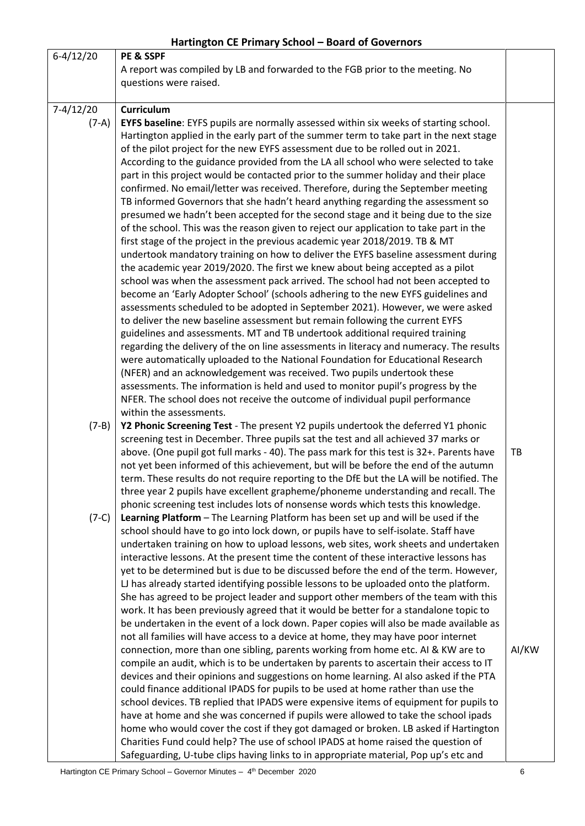|                        | $1.41$ correct to $2.1$ . The state of social correct the state of several corrections                                                                                                                                                                                                                                                                                                                                                                                                                                                                                                                                                                                                                                                                                                                                                                                                                                                                                                                                                                                                                                                                                                                                                                                                                                                                                                                                                                                                                                                                                                                                                                                                                                                                                                                                                                                                                                                              |       |
|------------------------|-----------------------------------------------------------------------------------------------------------------------------------------------------------------------------------------------------------------------------------------------------------------------------------------------------------------------------------------------------------------------------------------------------------------------------------------------------------------------------------------------------------------------------------------------------------------------------------------------------------------------------------------------------------------------------------------------------------------------------------------------------------------------------------------------------------------------------------------------------------------------------------------------------------------------------------------------------------------------------------------------------------------------------------------------------------------------------------------------------------------------------------------------------------------------------------------------------------------------------------------------------------------------------------------------------------------------------------------------------------------------------------------------------------------------------------------------------------------------------------------------------------------------------------------------------------------------------------------------------------------------------------------------------------------------------------------------------------------------------------------------------------------------------------------------------------------------------------------------------------------------------------------------------------------------------------------------------|-------|
| $6-4/12/20$            | PE & SSPF<br>A report was compiled by LB and forwarded to the FGB prior to the meeting. No<br>questions were raised.                                                                                                                                                                                                                                                                                                                                                                                                                                                                                                                                                                                                                                                                                                                                                                                                                                                                                                                                                                                                                                                                                                                                                                                                                                                                                                                                                                                                                                                                                                                                                                                                                                                                                                                                                                                                                                |       |
| $7-4/12/20$<br>$(7-A)$ | <b>Curriculum</b><br><b>EYFS baseline</b> : EYFS pupils are normally assessed within six weeks of starting school.<br>Hartington applied in the early part of the summer term to take part in the next stage<br>of the pilot project for the new EYFS assessment due to be rolled out in 2021.<br>According to the guidance provided from the LA all school who were selected to take<br>part in this project would be contacted prior to the summer holiday and their place<br>confirmed. No email/letter was received. Therefore, during the September meeting<br>TB informed Governors that she hadn't heard anything regarding the assessment so<br>presumed we hadn't been accepted for the second stage and it being due to the size<br>of the school. This was the reason given to reject our application to take part in the<br>first stage of the project in the previous academic year 2018/2019. TB & MT<br>undertook mandatory training on how to deliver the EYFS baseline assessment during<br>the academic year 2019/2020. The first we knew about being accepted as a pilot<br>school was when the assessment pack arrived. The school had not been accepted to<br>become an 'Early Adopter School' (schools adhering to the new EYFS guidelines and<br>assessments scheduled to be adopted in September 2021). However, we were asked<br>to deliver the new baseline assessment but remain following the current EYFS<br>guidelines and assessments. MT and TB undertook additional required training<br>regarding the delivery of the on line assessments in literacy and numeracy. The results<br>were automatically uploaded to the National Foundation for Educational Research<br>(NFER) and an acknowledgement was received. Two pupils undertook these<br>assessments. The information is held and used to monitor pupil's progress by the<br>NFER. The school does not receive the outcome of individual pupil performance |       |
| $(7-B)$<br>$(7-C)$     | within the assessments.<br>Y2 Phonic Screening Test - The present Y2 pupils undertook the deferred Y1 phonic<br>screening test in December. Three pupils sat the test and all achieved 37 marks or<br>above. (One pupil got full marks - 40). The pass mark for this test is 32+. Parents have<br>not yet been informed of this achievement, but will be before the end of the autumn<br>term. These results do not require reporting to the DfE but the LA will be notified. The<br>three year 2 pupils have excellent grapheme/phoneme understanding and recall. The<br>phonic screening test includes lots of nonsense words which tests this knowledge.<br>Learning Platform - The Learning Platform has been set up and will be used if the<br>school should have to go into lock down, or pupils have to self-isolate. Staff have<br>undertaken training on how to upload lessons, web sites, work sheets and undertaken<br>interactive lessons. At the present time the content of these interactive lessons has<br>yet to be determined but is due to be discussed before the end of the term. However,<br>LJ has already started identifying possible lessons to be uploaded onto the platform.<br>She has agreed to be project leader and support other members of the team with this<br>work. It has been previously agreed that it would be better for a standalone topic to<br>be undertaken in the event of a lock down. Paper copies will also be made available as                                                                                                                                                                                                                                                                                                                                                                                                                                                                  | TB    |
|                        | not all families will have access to a device at home, they may have poor internet<br>connection, more than one sibling, parents working from home etc. AI & KW are to<br>compile an audit, which is to be undertaken by parents to ascertain their access to IT<br>devices and their opinions and suggestions on home learning. AI also asked if the PTA<br>could finance additional IPADS for pupils to be used at home rather than use the<br>school devices. TB replied that IPADS were expensive items of equipment for pupils to<br>have at home and she was concerned if pupils were allowed to take the school ipads<br>home who would cover the cost if they got damaged or broken. LB asked if Hartington<br>Charities Fund could help? The use of school IPADS at home raised the question of<br>Safeguarding, U-tube clips having links to in appropriate material, Pop up's etc and                                                                                                                                                                                                                                                                                                                                                                                                                                                                                                                                                                                                                                                                                                                                                                                                                                                                                                                                                                                                                                                    | AI/KW |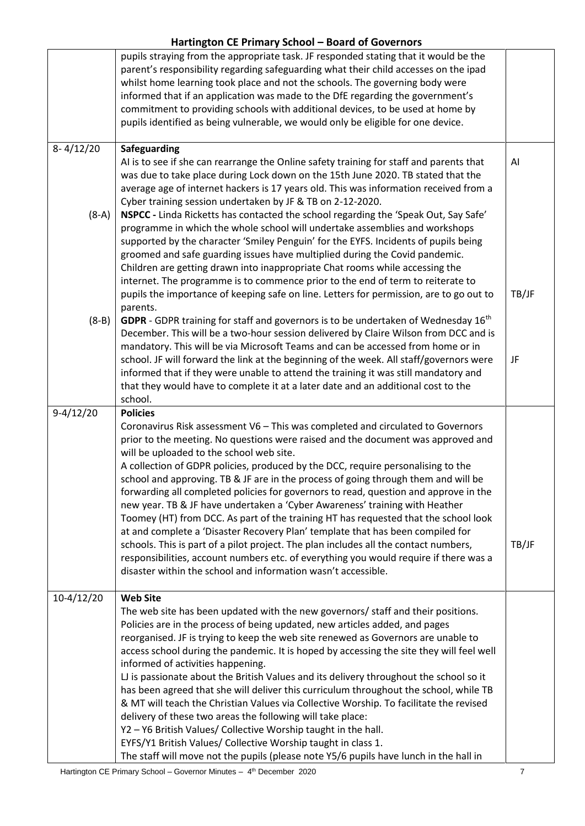|               | pupils straying from the appropriate task. JF responded stating that it would be the<br>parent's responsibility regarding safeguarding what their child accesses on the ipad<br>whilst home learning took place and not the schools. The governing body were<br>informed that if an application was made to the DfE regarding the government's<br>commitment to providing schools with additional devices, to be used at home by |       |
|---------------|----------------------------------------------------------------------------------------------------------------------------------------------------------------------------------------------------------------------------------------------------------------------------------------------------------------------------------------------------------------------------------------------------------------------------------|-------|
|               | pupils identified as being vulnerable, we would only be eligible for one device.                                                                                                                                                                                                                                                                                                                                                 |       |
| $8 - 4/12/20$ | Safeguarding                                                                                                                                                                                                                                                                                                                                                                                                                     |       |
| $(8-A)$       | AI is to see if she can rearrange the Online safety training for staff and parents that<br>was due to take place during Lock down on the 15th June 2020. TB stated that the<br>average age of internet hackers is 17 years old. This was information received from a<br>Cyber training session undertaken by JF & TB on 2-12-2020.<br>NSPCC - Linda Ricketts has contacted the school regarding the 'Speak Out, Say Safe'        | AI    |
|               | programme in which the whole school will undertake assemblies and workshops<br>supported by the character 'Smiley Penguin' for the EYFS. Incidents of pupils being<br>groomed and safe guarding issues have multiplied during the Covid pandemic.<br>Children are getting drawn into inappropriate Chat rooms while accessing the<br>internet. The programme is to commence prior to the end of term to reiterate to             |       |
|               | pupils the importance of keeping safe on line. Letters for permission, are to go out to<br>parents.                                                                                                                                                                                                                                                                                                                              | TB/JF |
| $(8 - B)$     | GDPR - GDPR training for staff and governors is to be undertaken of Wednesday 16 <sup>th</sup><br>December. This will be a two-hour session delivered by Claire Wilson from DCC and is<br>mandatory. This will be via Microsoft Teams and can be accessed from home or in                                                                                                                                                        |       |
|               | school. JF will forward the link at the beginning of the week. All staff/governors were<br>informed that if they were unable to attend the training it was still mandatory and<br>that they would have to complete it at a later date and an additional cost to the<br>school.                                                                                                                                                   | JF    |
| $9-4/12/20$   | <b>Policies</b>                                                                                                                                                                                                                                                                                                                                                                                                                  |       |
|               | Coronavirus Risk assessment V6 - This was completed and circulated to Governors<br>prior to the meeting. No questions were raised and the document was approved and<br>will be uploaded to the school web site.<br>A collection of GDPR policies, produced by the DCC, require personalising to the<br>school and approving. TB & JF are in the process of going through them and will be                                        |       |
|               | forwarding all completed policies for governors to read, question and approve in the<br>new year. TB & JF have undertaken a 'Cyber Awareness' training with Heather<br>Toomey (HT) from DCC. As part of the training HT has requested that the school look                                                                                                                                                                       |       |
|               | at and complete a 'Disaster Recovery Plan' template that has been compiled for<br>schools. This is part of a pilot project. The plan includes all the contact numbers,<br>responsibilities, account numbers etc. of everything you would require if there was a<br>disaster within the school and information wasn't accessible.                                                                                                 | TB/JF |
| $10-4/12/20$  | <b>Web Site</b>                                                                                                                                                                                                                                                                                                                                                                                                                  |       |
|               | The web site has been updated with the new governors/ staff and their positions.                                                                                                                                                                                                                                                                                                                                                 |       |
|               | Policies are in the process of being updated, new articles added, and pages<br>reorganised. JF is trying to keep the web site renewed as Governors are unable to                                                                                                                                                                                                                                                                 |       |
|               | access school during the pandemic. It is hoped by accessing the site they will feel well                                                                                                                                                                                                                                                                                                                                         |       |
|               | informed of activities happening.<br>LJ is passionate about the British Values and its delivery throughout the school so it                                                                                                                                                                                                                                                                                                      |       |
|               | has been agreed that she will deliver this curriculum throughout the school, while TB                                                                                                                                                                                                                                                                                                                                            |       |
|               | & MT will teach the Christian Values via Collective Worship. To facilitate the revised                                                                                                                                                                                                                                                                                                                                           |       |
|               | delivery of these two areas the following will take place:                                                                                                                                                                                                                                                                                                                                                                       |       |
|               | Y2 - Y6 British Values/ Collective Worship taught in the hall.<br>EYFS/Y1 British Values/ Collective Worship taught in class 1.                                                                                                                                                                                                                                                                                                  |       |
|               | The staff will move not the pupils (please note Y5/6 pupils have lunch in the hall in                                                                                                                                                                                                                                                                                                                                            |       |

Hartington CE Primary School – Governor Minutes – 4<sup>th</sup> December 2020 **The Contract Contract Contract Contract Contract Contract Contract Contract Contract Contract Contract Contract Contract Contract Contract Contract Con**